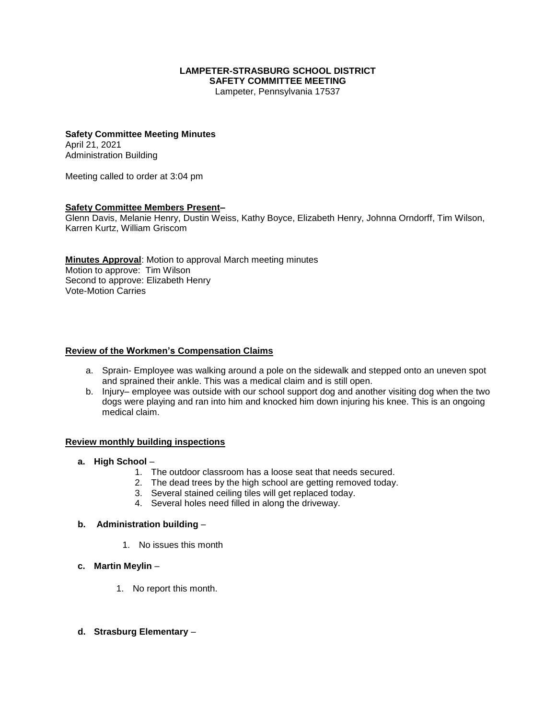#### **LAMPETER-STRASBURG SCHOOL DISTRICT SAFETY COMMITTEE MEETING**

Lampeter, Pennsylvania 17537

#### **Safety Committee Meeting Minutes** April 21, 2021 Administration Building

Meeting called to order at 3:04 pm

## **Safety Committee Members Present–**

Glenn Davis, Melanie Henry, Dustin Weiss, Kathy Boyce, Elizabeth Henry, Johnna Orndorff, Tim Wilson, Karren Kurtz, William Griscom

**Minutes Approval**: Motion to approval March meeting minutes Motion to approve: Tim Wilson Second to approve: Elizabeth Henry Vote-Motion Carries

#### **Review of the Workmen's Compensation Claims**

- a. Sprain- Employee was walking around a pole on the sidewalk and stepped onto an uneven spot and sprained their ankle. This was a medical claim and is still open.
- b. Injury– employee was outside with our school support dog and another visiting dog when the two dogs were playing and ran into him and knocked him down injuring his knee. This is an ongoing medical claim.

#### **Review monthly building inspections**

- **a. High School**
	- 1. The outdoor classroom has a loose seat that needs secured.
	- 2. The dead trees by the high school are getting removed today.
	- 3. Several stained ceiling tiles will get replaced today.
	- 4. Several holes need filled in along the driveway.

#### **b. Administration building** –

- 1. No issues this month
- **c. Martin Meylin**
	- 1. No report this month.
- **d. Strasburg Elementary** –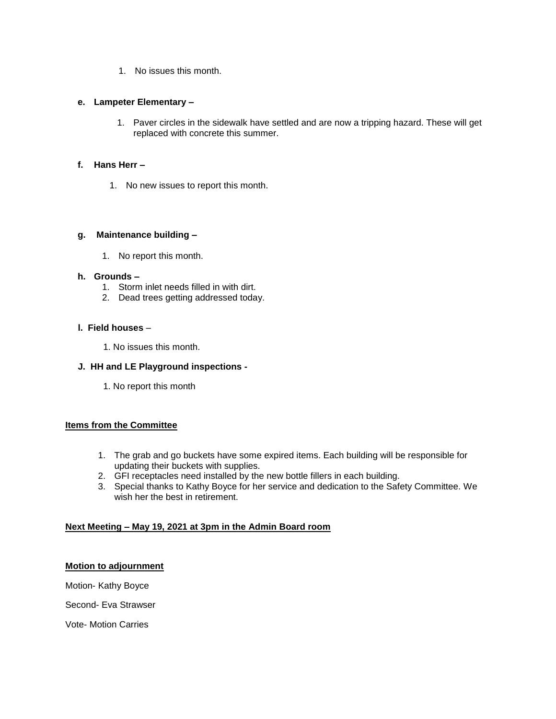1. No issues this month.

#### **e. Lampeter Elementary –**

1. Paver circles in the sidewalk have settled and are now a tripping hazard. These will get replaced with concrete this summer.

## **f. Hans Herr –**

1. No new issues to report this month.

## **g. Maintenance building –**

1. No report this month.

## **h. Grounds –**

- 1. Storm inlet needs filled in with dirt.
- 2. Dead trees getting addressed today.

## **l. Field houses** –

1. No issues this month.

# **J. HH and LE Playground inspections -**

1. No report this month

# **Items from the Committee**

- 1. The grab and go buckets have some expired items. Each building will be responsible for updating their buckets with supplies.
- 2. GFI receptacles need installed by the new bottle fillers in each building.
- 3. Special thanks to Kathy Boyce for her service and dedication to the Safety Committee. We wish her the best in retirement

# **Next Meeting – May 19, 2021 at 3pm in the Admin Board room**

#### **Motion to adjournment**

Motion- Kathy Boyce

Second- Eva Strawser

Vote- Motion Carries